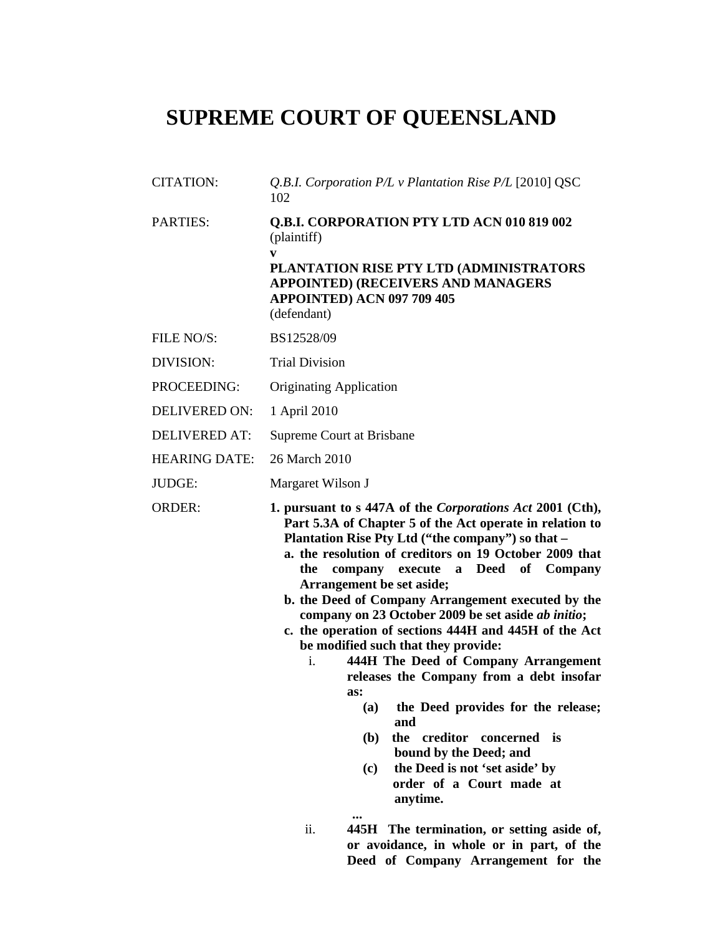# **SUPREME COURT OF QUEENSLAND**

- CITATION: *Q.B.I. Corporation P/L v Plantation Rise P/L* [2010] QSC 102 PARTIES: **Q.B.I. CORPORATION PTY LTD ACN 010 819 002**  (plaintiff) **v PLANTATION RISE PTY LTD (ADMINISTRATORS APPOINTED) (RECEIVERS AND MANAGERS APPOINTED) ACN 097 709 405**  (defendant) FILE NO/S: BS12528/09 DIVISION: Trial Division PROCEEDING: Originating Application DELIVERED ON: 1 April 2010 DELIVERED AT: Supreme Court at Brisbane HEARING DATE: 26 March 2010 JUDGE: Margaret Wilson J ORDER: **1. pursuant to s 447A of the** *Corporations Act* **2001 (Cth), Part 5.3A of Chapter 5 of the Act operate in relation to Plantation Rise Pty Ltd ("the company") so that – a. the resolution of creditors on 19 October 2009 that the company execute a Deed of Company Arrangement be set aside; b. the Deed of Company Arrangement executed by the company on 23 October 2009 be set aside** *ab initio***;** 
	- **c. the operation of sections 444H and 445H of the Act be modified such that they provide:** 
		- i. **444H The Deed of Company Arrangement releases the Company from a debt insofar as:** 
			- **(a) the Deed provides for the release; and**
			- **(b) the creditor concerned is bound by the Deed; and**
			- **(c) the Deed is not 'set aside' by order of a Court made at anytime.**
		- **... ...** ii. **445H The termination, or setting aside of, or avoidance, in whole or in part, of the Deed of Company Arrangement for the**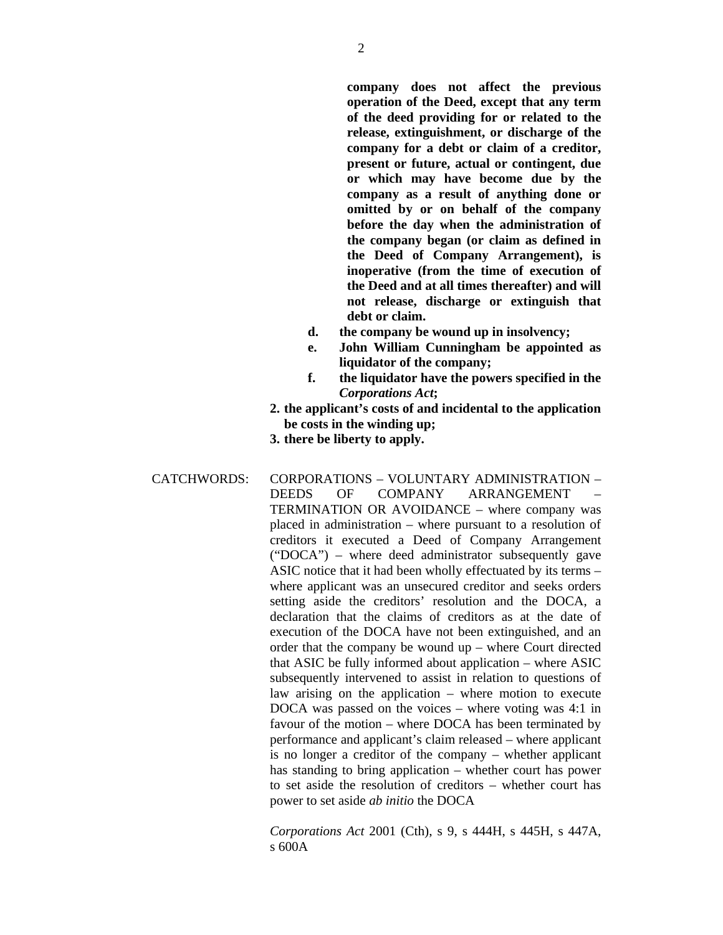**company does not affect the previous operation of the Deed, except that any term of the deed providing for or related to the release, extinguishment, or discharge of the company for a debt or claim of a creditor, present or future, actual or contingent, due or which may have become due by the company as a result of anything done or omitted by or on behalf of the company before the day when the administration of the company began (or claim as defined in the Deed of Company Arrangement), is inoperative (from the time of execution of the Deed and at all times thereafter) and will not release, discharge or extinguish that debt or claim.** 

- **d. the company be wound up in insolvency;**
- **e. John William Cunningham be appointed as liquidator of the company;**
- **f. the liquidator have the powers specified in the**  *Corporations Act***;**
- **2. the applicant's costs of and incidental to the application be costs in the winding up;**
- **3. there be liberty to apply.**
- CATCHWORDS: CORPORATIONS VOLUNTARY ADMINISTRATION DEEDS OF COMPANY ARRANGEMENT TERMINATION OR AVOIDANCE – where company was placed in administration – where pursuant to a resolution of creditors it executed a Deed of Company Arrangement ("DOCA") – where deed administrator subsequently gave ASIC notice that it had been wholly effectuated by its terms – where applicant was an unsecured creditor and seeks orders setting aside the creditors' resolution and the DOCA, a declaration that the claims of creditors as at the date of execution of the DOCA have not been extinguished, and an order that the company be wound up – where Court directed that ASIC be fully informed about application – where ASIC subsequently intervened to assist in relation to questions of law arising on the application – where motion to execute DOCA was passed on the voices – where voting was 4:1 in favour of the motion – where DOCA has been terminated by performance and applicant's claim released – where applicant is no longer a creditor of the company – whether applicant has standing to bring application – whether court has power to set aside the resolution of creditors – whether court has power to set aside *ab initio* the DOCA

*Corporations Act* 2001 (Cth), s 9, s 444H, s 445H, s 447A, s 600A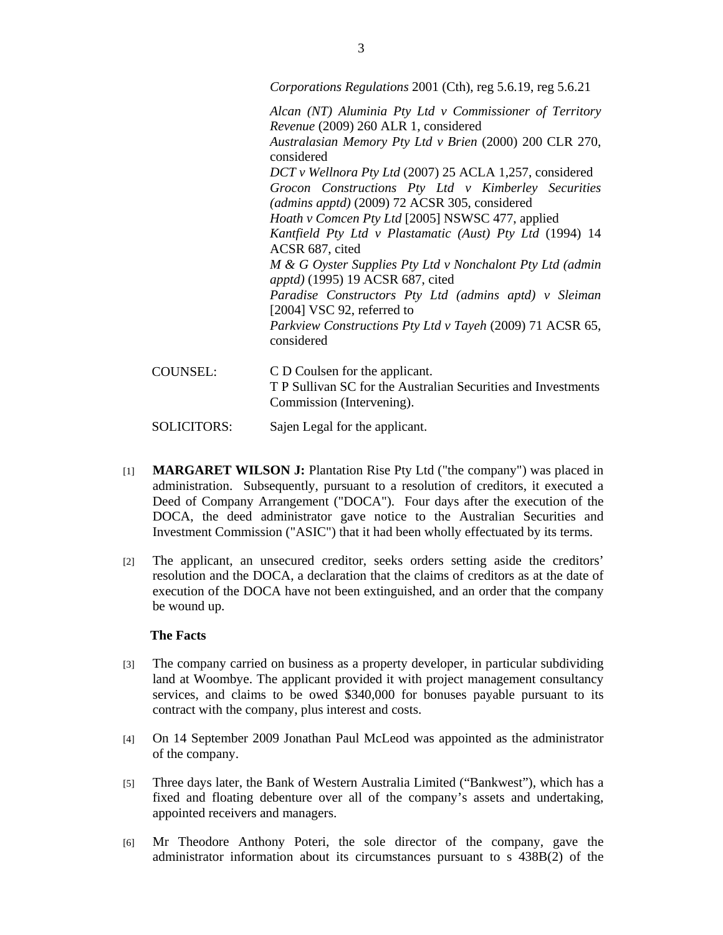*Corporations Regulations* 2001 (Cth), reg 5.6.19, reg 5.6.21

*Alcan (NT) Aluminia Pty Ltd v Commissioner of Territory Revenue* (2009) 260 ALR 1, considered *Australasian Memory Pty Ltd v Brien* (2000) 200 CLR 270, considered *DCT v Wellnora Pty Ltd* (2007) 25 ACLA 1,257, considered *Grocon Constructions Pty Ltd v Kimberley Securities (admins apptd)* (2009) 72 ACSR 305, considered *Hoath v Comcen Pty Ltd* [2005] NSWSC 477, applied *Kantfield Pty Ltd v Plastamatic (Aust) Pty Ltd* (1994) 14 ACSR 687, cited *M & G Oyster Supplies Pty Ltd v Nonchalont Pty Ltd (admin apptd)* (1995) 19 ACSR 687, cited *Paradise Constructors Pty Ltd (admins aptd) v Sleiman* [2004] VSC 92, referred to *Parkview Constructions Pty Ltd v Tayeh* (2009) 71 ACSR 65, considered

COUNSEL: C D Coulsen for the applicant. T P Sullivan SC for the Australian Securities and Investments Commission (Intervening).

SOLICITORS: Sajen Legal for the applicant.

- [1] **MARGARET WILSON J:** Plantation Rise Pty Ltd ("the company") was placed in administration. Subsequently, pursuant to a resolution of creditors, it executed a Deed of Company Arrangement ("DOCA"). Four days after the execution of the DOCA, the deed administrator gave notice to the Australian Securities and Investment Commission ("ASIC") that it had been wholly effectuated by its terms.
- [2] The applicant, an unsecured creditor, seeks orders setting aside the creditors' resolution and the DOCA, a declaration that the claims of creditors as at the date of execution of the DOCA have not been extinguished, and an order that the company be wound up.

#### **The Facts**

- [3] The company carried on business as a property developer, in particular subdividing land at Woombye. The applicant provided it with project management consultancy services, and claims to be owed \$340,000 for bonuses payable pursuant to its contract with the company, plus interest and costs.
- [4] On 14 September 2009 Jonathan Paul McLeod was appointed as the administrator of the company.
- [5] Three days later, the Bank of Western Australia Limited ("Bankwest"), which has a fixed and floating debenture over all of the company's assets and undertaking, appointed receivers and managers.
- [6] Mr Theodore Anthony Poteri, the sole director of the company, gave the administrator information about its circumstances pursuant to s 438B(2) of the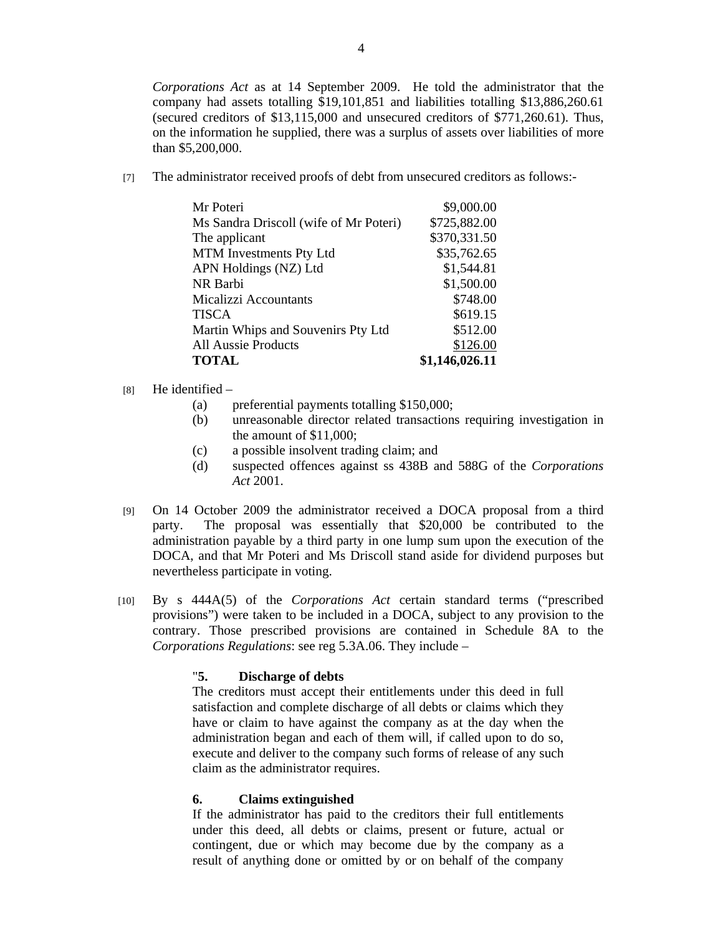*Corporations Act* as at 14 September 2009. He told the administrator that the company had assets totalling \$19,101,851 and liabilities totalling \$13,886,260.61 (secured creditors of \$13,115,000 and unsecured creditors of \$771,260.61). Thus, on the information he supplied, there was a surplus of assets over liabilities of more than \$5,200,000.

[7] The administrator received proofs of debt from unsecured creditors as follows:-

| Mr Poteri                              | \$9,000.00     |
|----------------------------------------|----------------|
| Ms Sandra Driscoll (wife of Mr Poteri) | \$725,882.00   |
| The applicant                          | \$370,331.50   |
| MTM Investments Pty Ltd                | \$35,762.65    |
| APN Holdings (NZ) Ltd                  | \$1,544.81     |
| NR Barbi                               | \$1,500.00     |
| <b>Micalizzi Accountants</b>           | \$748.00       |
| <b>TISCA</b>                           | \$619.15       |
| Martin Whips and Souvenirs Pty Ltd     | \$512.00       |
| <b>All Aussie Products</b>             | \$126.00       |
| <b>TOTAL</b>                           | \$1,146,026.11 |

# $[8]$  He identified –

- (a) preferential payments totalling \$150,000;
- (b) unreasonable director related transactions requiring investigation in the amount of \$11,000;
- (c) a possible insolvent trading claim; and
- (d) suspected offences against ss 438B and 588G of the *Corporations Act* 2001.
- [9] On 14 October 2009 the administrator received a DOCA proposal from a third party. The proposal was essentially that \$20,000 be contributed to the administration payable by a third party in one lump sum upon the execution of the DOCA, and that Mr Poteri and Ms Driscoll stand aside for dividend purposes but nevertheless participate in voting.
- [10] By s 444A(5) of the *Corporations Act* certain standard terms ("prescribed provisions") were taken to be included in a DOCA, subject to any provision to the contrary. Those prescribed provisions are contained in Schedule 8A to the *Corporations Regulations*: see reg 5.3A.06. They include –

# "**5. Discharge of debts**

The creditors must accept their entitlements under this deed in full satisfaction and complete discharge of all debts or claims which they have or claim to have against the company as at the day when the administration began and each of them will, if called upon to do so, execute and deliver to the company such forms of release of any such claim as the administrator requires.

# **6. Claims extinguished**

If the administrator has paid to the creditors their full entitlements under this deed, all debts or claims, present or future, actual or contingent, due or which may become due by the company as a result of anything done or omitted by or on behalf of the company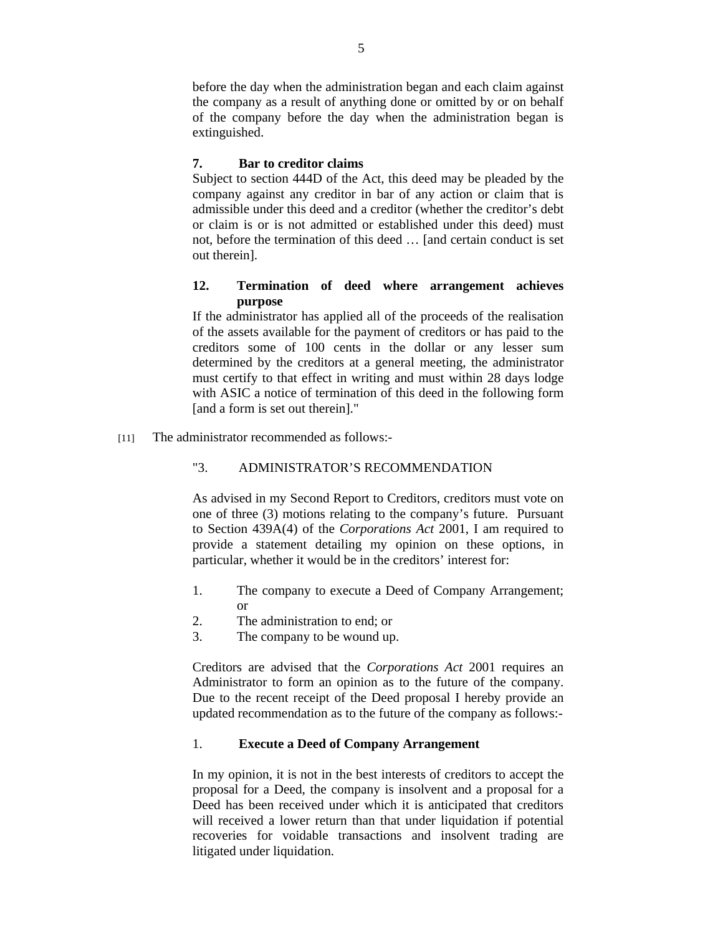before the day when the administration began and each claim against the company as a result of anything done or omitted by or on behalf of the company before the day when the administration began is extinguished.

# **7. Bar to creditor claims**

Subject to section 444D of the Act, this deed may be pleaded by the company against any creditor in bar of any action or claim that is admissible under this deed and a creditor (whether the creditor's debt or claim is or is not admitted or established under this deed) must not, before the termination of this deed … [and certain conduct is set out therein].

# **12. Termination of deed where arrangement achieves purpose**

If the administrator has applied all of the proceeds of the realisation of the assets available for the payment of creditors or has paid to the creditors some of 100 cents in the dollar or any lesser sum determined by the creditors at a general meeting, the administrator must certify to that effect in writing and must within 28 days lodge with ASIC a notice of termination of this deed in the following form [and a form is set out therein]."

[11] The administrator recommended as follows:-

# "3. ADMINISTRATOR'S RECOMMENDATION

As advised in my Second Report to Creditors, creditors must vote on one of three (3) motions relating to the company's future. Pursuant to Section 439A(4) of the *Corporations Act* 2001, I am required to provide a statement detailing my opinion on these options, in particular, whether it would be in the creditors' interest for:

- 1. The company to execute a Deed of Company Arrangement; or
- 2. The administration to end; or
- 3. The company to be wound up.

Creditors are advised that the *Corporations Act* 2001 requires an Administrator to form an opinion as to the future of the company. Due to the recent receipt of the Deed proposal I hereby provide an updated recommendation as to the future of the company as follows:-

# 1. **Execute a Deed of Company Arrangement**

In my opinion, it is not in the best interests of creditors to accept the proposal for a Deed, the company is insolvent and a proposal for a Deed has been received under which it is anticipated that creditors will received a lower return than that under liquidation if potential recoveries for voidable transactions and insolvent trading are litigated under liquidation.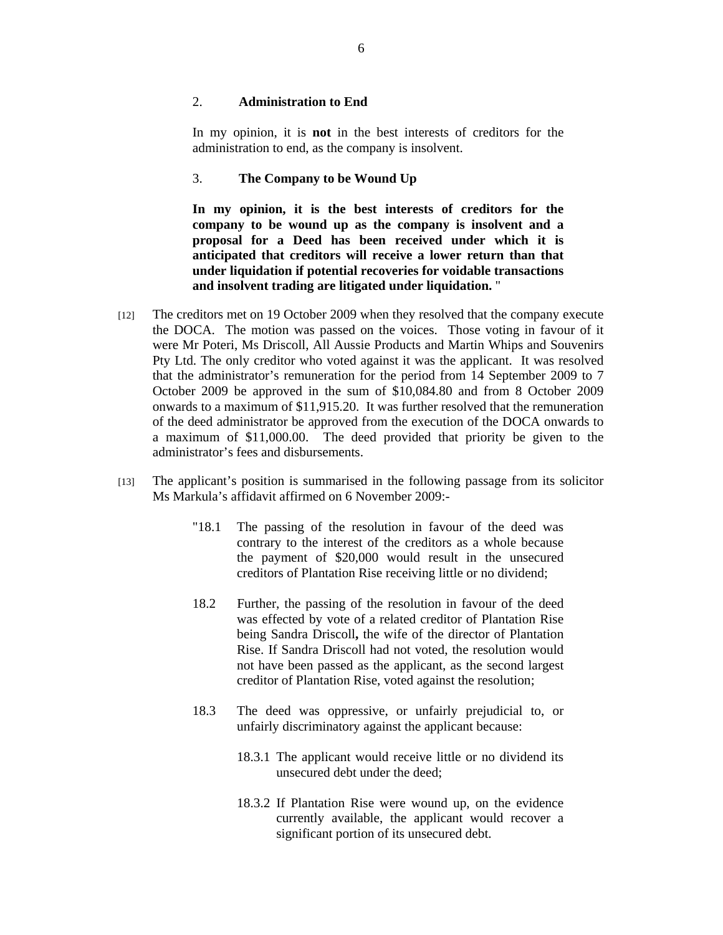#### 2. **Administration to End**

In my opinion, it is **not** in the best interests of creditors for the administration to end, as the company is insolvent.

#### 3. **The Company to be Wound Up**

**In my opinion, it is the best interests of creditors for the company to be wound up as the company is insolvent and a proposal for a Deed has been received under which it is anticipated that creditors will receive a lower return than that under liquidation if potential recoveries for voidable transactions and insolvent trading are litigated under liquidation.** "

- [12] The creditors met on 19 October 2009 when they resolved that the company execute the DOCA. The motion was passed on the voices. Those voting in favour of it were Mr Poteri, Ms Driscoll, All Aussie Products and Martin Whips and Souvenirs Pty Ltd. The only creditor who voted against it was the applicant. It was resolved that the administrator's remuneration for the period from 14 September 2009 to 7 October 2009 be approved in the sum of \$10,084.80 and from 8 October 2009 onwards to a maximum of \$11,915.20. It was further resolved that the remuneration of the deed administrator be approved from the execution of the DOCA onwards to a maximum of \$11,000.00. The deed provided that priority be given to the administrator's fees and disbursements.
- [13] The applicant's position is summarised in the following passage from its solicitor Ms Markula's affidavit affirmed on 6 November 2009:-
	- "18.1 The passing of the resolution in favour of the deed was contrary to the interest of the creditors as a whole because the payment of \$20,000 would result in the unsecured creditors of Plantation Rise receiving little or no dividend;
	- 18.2 Further, the passing of the resolution in favour of the deed was effected by vote of a related creditor of Plantation Rise being Sandra Driscoll**,** the wife of the director of Plantation Rise. If Sandra Driscoll had not voted, the resolution would not have been passed as the applicant, as the second largest creditor of Plantation Rise, voted against the resolution;
	- 18.3 The deed was oppressive, or unfairly prejudicial to, or unfairly discriminatory against the applicant because:
		- 18.3.1 The applicant would receive little or no dividend its unsecured debt under the deed;
		- 18.3.2 If Plantation Rise were wound up, on the evidence currently available, the applicant would recover a significant portion of its unsecured debt.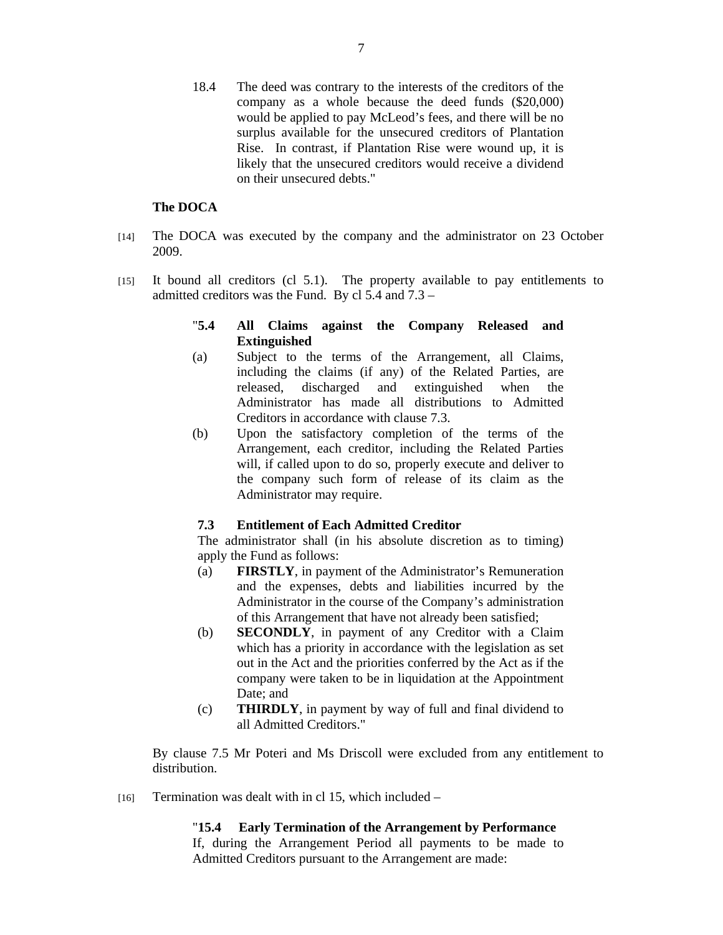18.4 The deed was contrary to the interests of the creditors of the company as a whole because the deed funds (\$20,000) would be applied to pay McLeod's fees, and there will be no surplus available for the unsecured creditors of Plantation Rise. In contrast, if Plantation Rise were wound up, it is likely that the unsecured creditors would receive a dividend on their unsecured debts."

# **The DOCA**

- [14] The DOCA was executed by the company and the administrator on 23 October 2009.
- [15] It bound all creditors (cl 5.1). The property available to pay entitlements to admitted creditors was the Fund. By cl 5.4 and 7.3 –

# "**5.4 All Claims against the Company Released and Extinguished**

- (a) Subject to the terms of the Arrangement, all Claims, including the claims (if any) of the Related Parties, are released, discharged and extinguished when the Administrator has made all distributions to Admitted Creditors in accordance with clause 7.3.
- (b) Upon the satisfactory completion of the terms of the Arrangement, each creditor, including the Related Parties will, if called upon to do so, properly execute and deliver to the company such form of release of its claim as the Administrator may require.

## **7.3 Entitlement of Each Admitted Creditor**

The administrator shall (in his absolute discretion as to timing) apply the Fund as follows:

- (a) **FIRSTLY**, in payment of the Administrator's Remuneration and the expenses, debts and liabilities incurred by the Administrator in the course of the Company's administration of this Arrangement that have not already been satisfied;
- (b) **SECONDLY**, in payment of any Creditor with a Claim which has a priority in accordance with the legislation as set out in the Act and the priorities conferred by the Act as if the company were taken to be in liquidation at the Appointment Date; and
- (c) **THIRDLY**, in payment by way of full and final dividend to all Admitted Creditors."

By clause 7.5 Mr Poteri and Ms Driscoll were excluded from any entitlement to distribution.

 $[16]$  Termination was dealt with in cl 15, which included –

# "**15.4 Early Termination of the Arrangement by Performance**

If, during the Arrangement Period all payments to be made to Admitted Creditors pursuant to the Arrangement are made: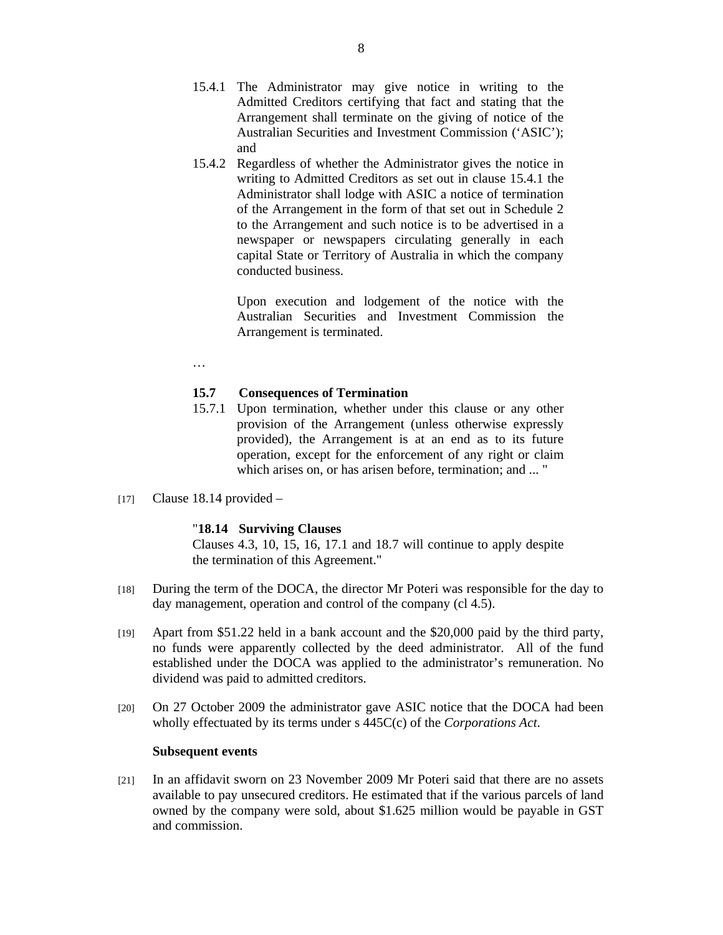- 15.4.1 The Administrator may give notice in writing to the Admitted Creditors certifying that fact and stating that the Arrangement shall terminate on the giving of notice of the Australian Securities and Investment Commission ('ASIC'); and
- 15.4.2 Regardless of whether the Administrator gives the notice in writing to Admitted Creditors as set out in clause 15.4.1 the Administrator shall lodge with ASIC a notice of termination of the Arrangement in the form of that set out in Schedule 2 to the Arrangement and such notice is to be advertised in a newspaper or newspapers circulating generally in each capital State or Territory of Australia in which the company conducted business.

 Upon execution and lodgement of the notice with the Australian Securities and Investment Commission the Arrangement is terminated.

…

#### **15.7 Consequences of Termination**

- 15.7.1 Upon termination, whether under this clause or any other provision of the Arrangement (unless otherwise expressly provided), the Arrangement is at an end as to its future operation, except for the enforcement of any right or claim which arises on, or has arisen before, termination; and ... "
- [17] Clause 18.14 provided  $-$

#### "**18.14 Surviving Clauses**

Clauses 4.3, 10, 15, 16, 17.1 and 18.7 will continue to apply despite the termination of this Agreement."

- [18] During the term of the DOCA, the director Mr Poteri was responsible for the day to day management, operation and control of the company (cl 4.5).
- [19] Apart from \$51.22 held in a bank account and the \$20,000 paid by the third party, no funds were apparently collected by the deed administrator. All of the fund established under the DOCA was applied to the administrator's remuneration. No dividend was paid to admitted creditors.
- [20] On 27 October 2009 the administrator gave ASIC notice that the DOCA had been wholly effectuated by its terms under s 445C(c) of the *Corporations Act*.

#### **Subsequent events**

[21] In an affidavit sworn on 23 November 2009 Mr Poteri said that there are no assets available to pay unsecured creditors. He estimated that if the various parcels of land owned by the company were sold, about \$1.625 million would be payable in GST and commission.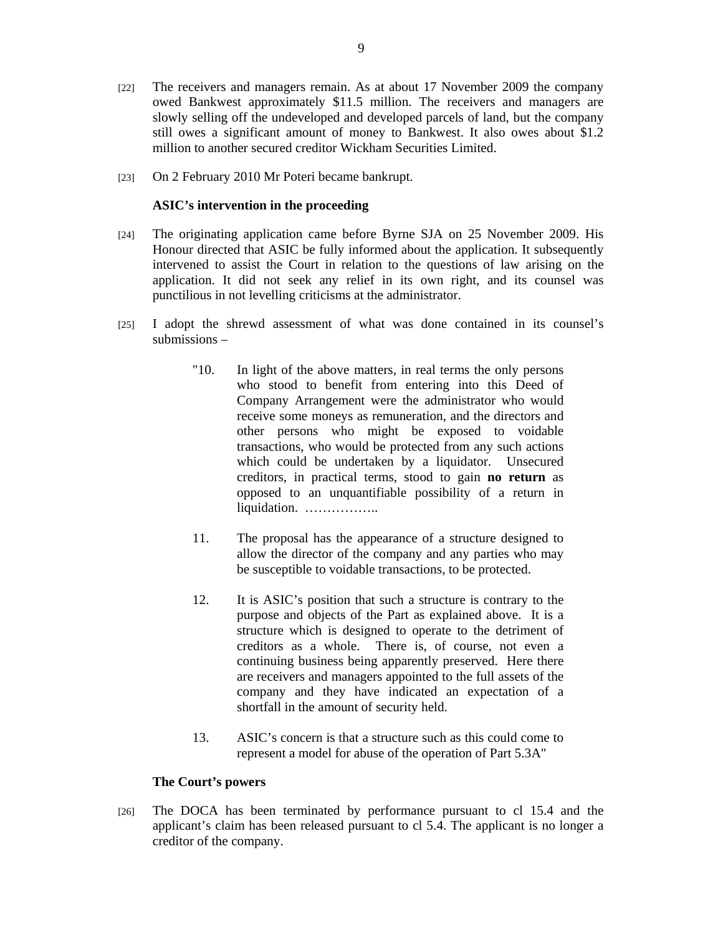- [22] The receivers and managers remain. As at about 17 November 2009 the company owed Bankwest approximately \$11.5 million. The receivers and managers are slowly selling off the undeveloped and developed parcels of land, but the company still owes a significant amount of money to Bankwest. It also owes about \$1.2 million to another secured creditor Wickham Securities Limited.
- [23] On 2 February 2010 Mr Poteri became bankrupt.

## **ASIC's intervention in the proceeding**

- [24] The originating application came before Byrne SJA on 25 November 2009. His Honour directed that ASIC be fully informed about the application. It subsequently intervened to assist the Court in relation to the questions of law arising on the application. It did not seek any relief in its own right, and its counsel was punctilious in not levelling criticisms at the administrator.
- [25] I adopt the shrewd assessment of what was done contained in its counsel's submissions –
	- "10. In light of the above matters, in real terms the only persons who stood to benefit from entering into this Deed of Company Arrangement were the administrator who would receive some moneys as remuneration, and the directors and other persons who might be exposed to voidable transactions, who would be protected from any such actions which could be undertaken by a liquidator. Unsecured creditors, in practical terms, stood to gain **no return** as opposed to an unquantifiable possibility of a return in liquidation. ……………….
	- 11. The proposal has the appearance of a structure designed to allow the director of the company and any parties who may be susceptible to voidable transactions, to be protected.
	- 12. It is ASIC's position that such a structure is contrary to the purpose and objects of the Part as explained above. It is a structure which is designed to operate to the detriment of creditors as a whole. There is, of course, not even a continuing business being apparently preserved. Here there are receivers and managers appointed to the full assets of the company and they have indicated an expectation of a shortfall in the amount of security held.
	- 13. ASIC's concern is that a structure such as this could come to represent a model for abuse of the operation of Part 5.3A"

#### **The Court's powers**

[26] The DOCA has been terminated by performance pursuant to cl 15.4 and the applicant's claim has been released pursuant to cl 5.4. The applicant is no longer a creditor of the company.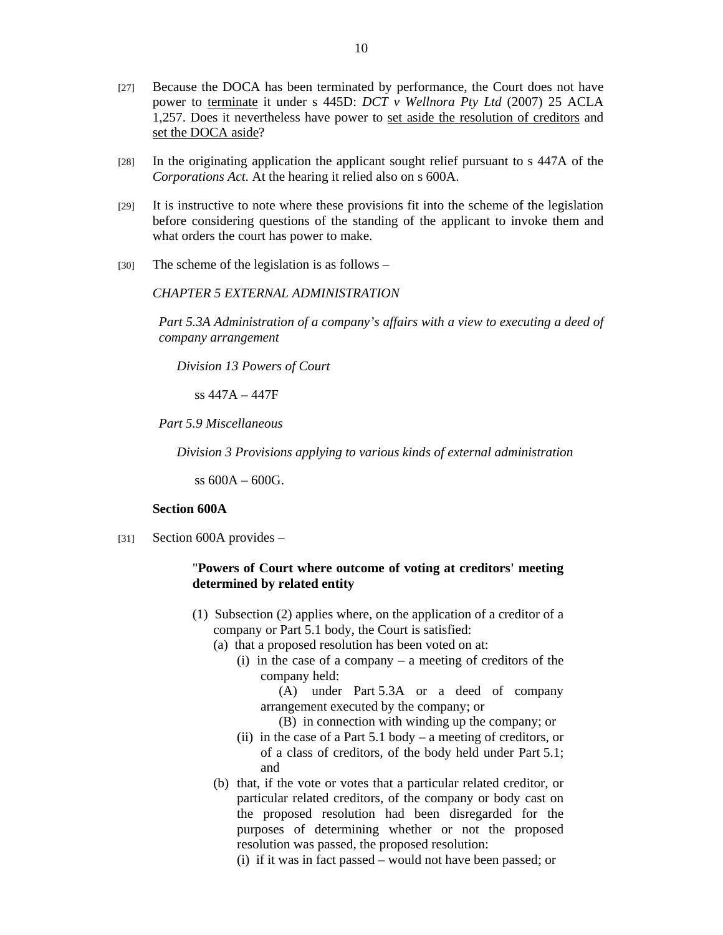- [27] Because the DOCA has been terminated by performance, the Court does not have power to terminate it under s 445D: *DCT v Wellnora Pty Ltd* (2007) 25 ACLA 1,257. Does it nevertheless have power to set aside the resolution of creditors and set the DOCA aside?
- [28] In the originating application the applicant sought relief pursuant to s 447A of the *Corporations Act*. At the hearing it relied also on s 600A.
- [29] It is instructive to note where these provisions fit into the scheme of the legislation before considering questions of the standing of the applicant to invoke them and what orders the court has power to make.
- [30] The scheme of the legislation is as follows –

#### *CHAPTER 5 EXTERNAL ADMINISTRATION*

*Part 5.3A Administration of a company's affairs with a view to executing a deed of company arrangement*

*Division 13 Powers of Court*

ss 447A – 447F

*Part 5.9 Miscellaneous* 

*Division 3 Provisions applying to various kinds of external administration*

ss 600A – 600G.

## **Section 600A**

[31] Section 600A provides –

#### "**Powers of Court where outcome of voting at creditors' meeting determined by related entity**

- (1) Subsection (2) applies where, on the application of a creditor of a company or Part 5.1 body, the Court is satisfied:
	- (a) that a proposed resolution has been voted on at:
		- (i) in the case of a company a meeting of creditors of the company held:

 (A) under Part 5.3A or a deed of company arrangement executed by the company; or

(B) in connection with winding up the company; or

- (ii) in the case of a Part 5.1 body a meeting of creditors, or of a class of creditors, of the body held under Part 5.1; and
- (b) that, if the vote or votes that a particular related creditor, or particular related creditors, of the company or body cast on the proposed resolution had been disregarded for the purposes of determining whether or not the proposed resolution was passed, the proposed resolution:
	- (i) if it was in fact passed would not have been passed; or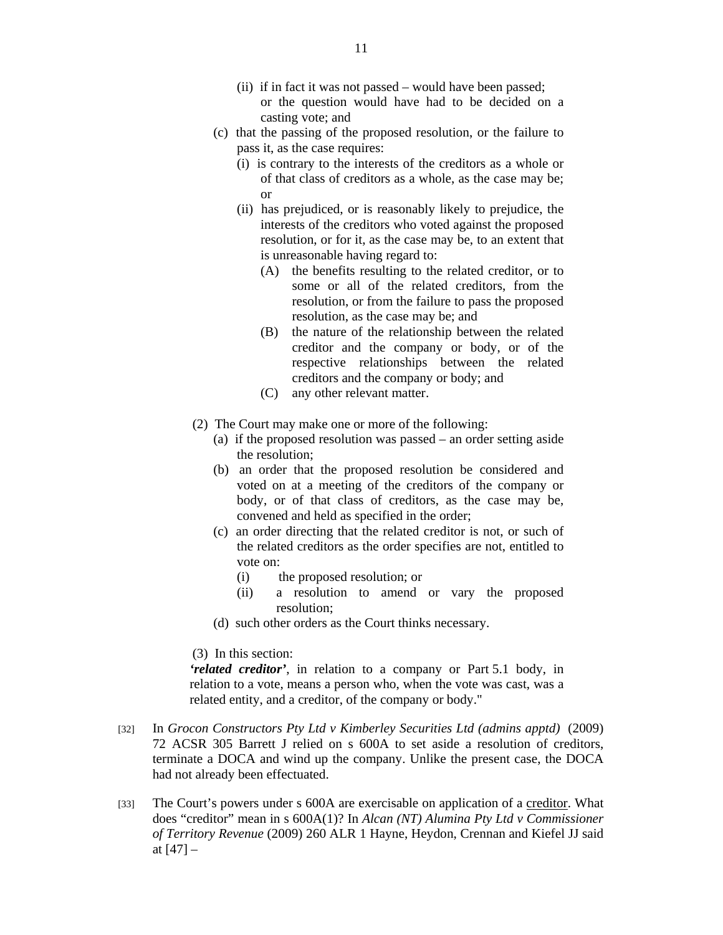- (ii) if in fact it was not passed would have been passed; or the question would have had to be decided on a casting vote; and
- (c) that the passing of the proposed resolution, or the failure to pass it, as the case requires:
	- (i) is contrary to the interests of the creditors as a whole or of that class of creditors as a whole, as the case may be; or
	- (ii) has prejudiced, or is reasonably likely to prejudice, the interests of the creditors who voted against the proposed resolution, or for it, as the case may be, to an extent that is unreasonable having regard to:
		- (A) the benefits resulting to the related creditor, or to some or all of the related creditors, from the resolution, or from the failure to pass the proposed resolution, as the case may be; and
		- (B) the nature of the relationship between the related creditor and the company or body, or of the respective relationships between the related creditors and the company or body; and
		- (C) any other relevant matter.
- (2) The Court may make one or more of the following:
	- (a) if the proposed resolution was passed an order setting aside the resolution;
	- (b) an order that the proposed resolution be considered and voted on at a meeting of the creditors of the company or body, or of that class of creditors, as the case may be, convened and held as specified in the order;
	- (c) an order directing that the related creditor is not, or such of the related creditors as the order specifies are not, entitled to vote on:
		- (i) the proposed resolution; or
		- (ii) a resolution to amend or vary the proposed resolution;
	- (d) such other orders as the Court thinks necessary.

(3) In this section:

*'related creditor'*, in relation to a company or Part 5.1 body, in relation to a vote, means a person who, when the vote was cast, was a related entity, and a creditor, of the company or body."

- [32] In *Grocon Constructors Pty Ltd v Kimberley Securities Ltd (admins apptd)* (2009) 72 ACSR 305 Barrett J relied on s 600A to set aside a resolution of creditors, terminate a DOCA and wind up the company. Unlike the present case, the DOCA had not already been effectuated.
- [33] The Court's powers under s 600A are exercisable on application of a creditor. What does "creditor" mean in s 600A(1)? In *Alcan (NT) Alumina Pty Ltd v Commissioner of Territory Revenue* (2009) 260 ALR 1 Hayne, Heydon, Crennan and Kiefel JJ said at [47] –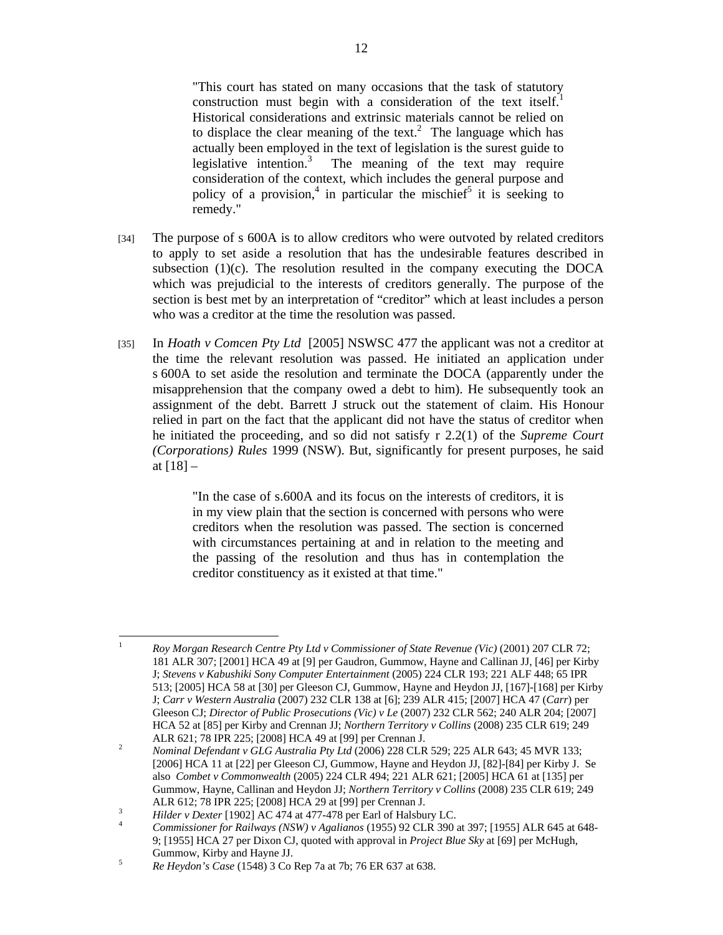"This court has stated on many occasions that the task of statutory construction must begin with a consideration of the text itself.<sup>1</sup> Historical considerations and extrinsic materials cannot be relied on to displace the clear meaning of the text.<sup>2</sup> The language which has actually been employed in the text of legislation is the surest guide to legislative intention.<sup>3</sup> The meaning of the text may require consideration of the context, which includes the general purpose and policy of a provision,<sup>4</sup> in particular the mischief<sup>5</sup> it is seeking to remedy."

- [34] The purpose of s 600A is to allow creditors who were outvoted by related creditors to apply to set aside a resolution that has the undesirable features described in subsection  $(1)(c)$ . The resolution resulted in the company executing the DOCA which was prejudicial to the interests of creditors generally. The purpose of the section is best met by an interpretation of "creditor" which at least includes a person who was a creditor at the time the resolution was passed.
- [35] In *Hoath v Comcen Pty Ltd* [2005] NSWSC 477 the applicant was not a creditor at the time the relevant resolution was passed. He initiated an application under s 600A to set aside the resolution and terminate the DOCA (apparently under the misapprehension that the company owed a debt to him). He subsequently took an assignment of the debt. Barrett J struck out the statement of claim. His Honour relied in part on the fact that the applicant did not have the status of creditor when he initiated the proceeding, and so did not satisfy r 2.2(1) of the *Supreme Court (Corporations) Rules* 1999 (NSW). But, significantly for present purposes, he said at  $[18] -$

"In the case of s.600A and its focus on the interests of creditors, it is in my view plain that the section is concerned with persons who were creditors when the resolution was passed. The section is concerned with circumstances pertaining at and in relation to the meeting and the passing of the resolution and thus has in contemplation the creditor constituency as it existed at that time."

 $\frac{1}{1}$  *Roy Morgan Research Centre Pty Ltd v Commissioner of State Revenue (Vic)* (2001) 207 CLR 72; 181 ALR 307; [2001] HCA 49 at [9] per Gaudron, Gummow, Hayne and Callinan JJ, [46] per Kirby J; *Stevens v Kabushiki Sony Computer Entertainment* (2005) 224 CLR 193; 221 ALF 448; 65 IPR 513; [2005] HCA 58 at [30] per Gleeson CJ, Gummow, Hayne and Heydon JJ, [167]-[168] per Kirby J; *Carr v Western Australia* (2007) 232 CLR 138 at [6]; 239 ALR 415; [2007] HCA 47 (*Carr*) per Gleeson CJ; *Director of Public Prosecutions (Vic) v Le* (2007) 232 CLR 562; 240 ALR 204; [2007] HCA 52 at [85] per Kirby and Crennan JJ; *Northern Territory v Collins* (2008) 235 CLR 619; 249 ALR 621; 78 IPR 225; [2008] HCA 49 at [99] per Crennan J.<br>
Nominal Defendant y GLG Australia Pty Ltd (2006) 228 CLP

*Nominal Defendant v GLG Australia Pty Ltd* (2006) 228 CLR 529; 225 ALR 643; 45 MVR 133; [2006] HCA 11 at [22] per Gleeson CJ, Gummow, Hayne and Heydon JJ, [82]-[84] per Kirby J. Se also *Combet v Commonwealth* (2005) 224 CLR 494; 221 ALR 621; [2005] HCA 61 at [135] per Gummow, Hayne, Callinan and Heydon JJ; *Northern Territory v Collins* (2008) 235 CLR 619; 249 ALR 612; 78 IPR 225; [2008] HCA 29 at [99] per Crennan J.<br>
Hiday Dovtar [1003] AC 474 et 477 478 per Ferl of Halaby

<sup>&</sup>lt;sup>3</sup> *Hilder v Dexter* [1902] AC 474 at 477-478 per Earl of Halsbury LC.

*Commissioner for Railways (NSW) v Agalianos* (1955) 92 CLR 390 at 397; [1955] ALR 645 at 648- 9; [1955] HCA 27 per Dixon CJ, quoted with approval in *Project Blue Sky* at [69] per McHugh, Gummow, Kirby and Hayne JJ.<br> $\frac{5}{R}$  Haydon's Case (1548) 3 Co.

*Re Heydon's Case* (1548) 3 Co Rep 7a at 7b; 76 ER 637 at 638.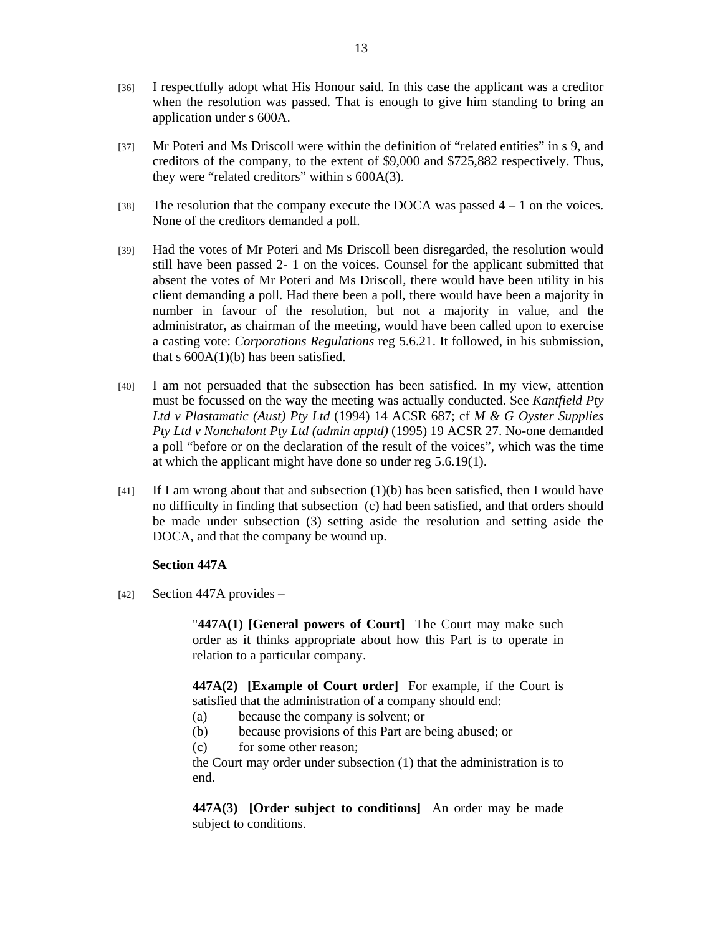- [36] I respectfully adopt what His Honour said. In this case the applicant was a creditor when the resolution was passed. That is enough to give him standing to bring an application under s 600A.
- [37] Mr Poteri and Ms Driscoll were within the definition of "related entities" in s 9, and creditors of the company, to the extent of \$9,000 and \$725,882 respectively. Thus, they were "related creditors" within s 600A(3).
- [38] The resolution that the company execute the DOCA was passed  $4 1$  on the voices. None of the creditors demanded a poll.
- [39] Had the votes of Mr Poteri and Ms Driscoll been disregarded, the resolution would still have been passed 2- 1 on the voices. Counsel for the applicant submitted that absent the votes of Mr Poteri and Ms Driscoll, there would have been utility in his client demanding a poll. Had there been a poll, there would have been a majority in number in favour of the resolution, but not a majority in value, and the administrator, as chairman of the meeting, would have been called upon to exercise a casting vote: *Corporations Regulations* reg 5.6.21. It followed, in his submission, that s  $600A(1)(b)$  has been satisfied.
- [40] I am not persuaded that the subsection has been satisfied. In my view, attention must be focussed on the way the meeting was actually conducted. See *Kantfield Pty Ltd v Plastamatic (Aust) Pty Ltd* (1994) 14 ACSR 687; cf *M & G Oyster Supplies Pty Ltd v Nonchalont Pty Ltd (admin apptd)* (1995) 19 ACSR 27. No-one demanded a poll "before or on the declaration of the result of the voices", which was the time at which the applicant might have done so under reg 5.6.19(1).
- $[41]$  If I am wrong about that and subsection  $(1)(b)$  has been satisfied, then I would have no difficulty in finding that subsection (c) had been satisfied, and that orders should be made under subsection (3) setting aside the resolution and setting aside the DOCA, and that the company be wound up.

## **Section 447A**

 $[42]$  Section 447A provides –

"**447A(1) [General powers of Court]** The Court may make such order as it thinks appropriate about how this Part is to operate in relation to a particular company.

**447A(2) [Example of Court order]** For example, if the Court is satisfied that the administration of a company should end:

- (a) because the company is solvent; or
- (b) because provisions of this Part are being abused; or
- (c) for some other reason;

the Court may order under subsection (1) that the administration is to end.

**447A(3) [Order subject to conditions]** An order may be made subject to conditions.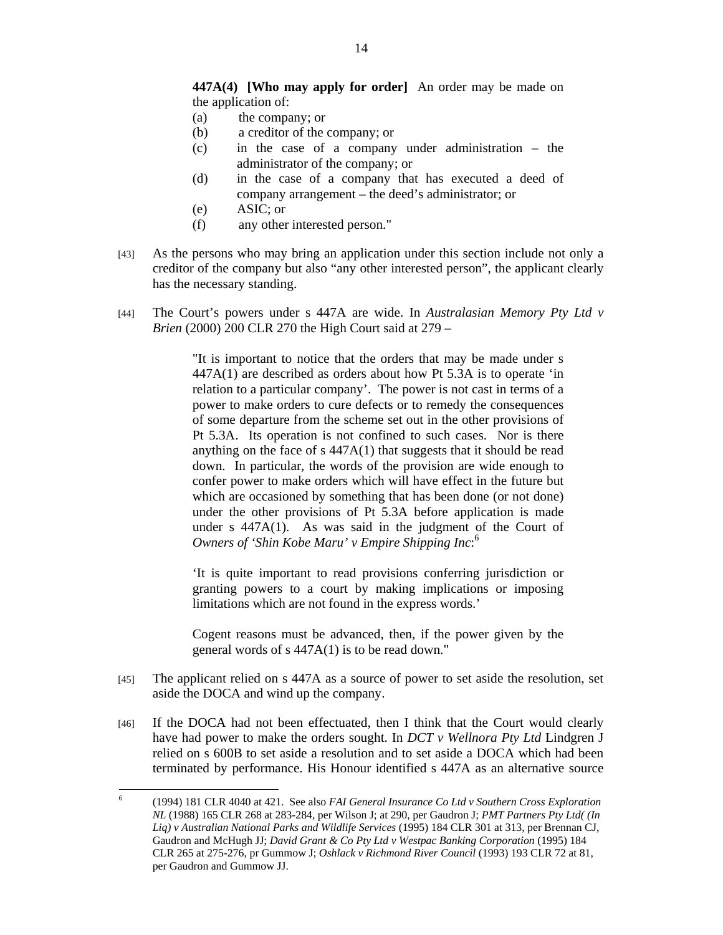**447A(4) [Who may apply for order]** An order may be made on the application of:

- (a) the company; or
- (b) a creditor of the company; or
- (c) in the case of a company under administration the administrator of the company; or
- (d) in the case of a company that has executed a deed of company arrangement – the deed's administrator; or
- (e) ASIC; or
- (f) any other interested person."
- [43] As the persons who may bring an application under this section include not only a creditor of the company but also "any other interested person", the applicant clearly has the necessary standing.
- [44] The Court's powers under s 447A are wide. In *Australasian Memory Pty Ltd v Brien* (2000) 200 CLR 270 the High Court said at 279 –

"It is important to notice that the orders that may be made under s 447A(1) are described as orders about how Pt 5.3A is to operate 'in relation to a particular company'. The power is not cast in terms of a power to make orders to cure defects or to remedy the consequences of some departure from the scheme set out in the other provisions of Pt 5.3A. Its operation is not confined to such cases. Nor is there anything on the face of s 447A(1) that suggests that it should be read down. In particular, the words of the provision are wide enough to confer power to make orders which will have effect in the future but which are occasioned by something that has been done (or not done) under the other provisions of Pt 5.3A before application is made under s 447A(1). As was said in the judgment of the Court of *Owners of 'Shin Kobe Maru' v Empire Shipping Inc*: 6

'It is quite important to read provisions conferring jurisdiction or granting powers to a court by making implications or imposing limitations which are not found in the express words.'

Cogent reasons must be advanced, then, if the power given by the general words of s 447A(1) is to be read down."

- [45] The applicant relied on s 447A as a source of power to set aside the resolution, set aside the DOCA and wind up the company.
- [46] If the DOCA had not been effectuated, then I think that the Court would clearly have had power to make the orders sought. In *DCT v Wellnora Pty Ltd* Lindgren J relied on s 600B to set aside a resolution and to set aside a DOCA which had been terminated by performance. His Honour identified s 447A as an alternative source

 6 (1994) 181 CLR 4040 at 421. See also *FAI General Insurance Co Ltd v Southern Cross Exploration NL* (1988) 165 CLR 268 at 283-284, per Wilson J; at 290, per Gaudron J; *PMT Partners Pty Ltd( (In Liq) v Australian National Parks and Wildlife Services* (1995) 184 CLR 301 at 313, per Brennan CJ, Gaudron and McHugh JJ; *David Grant & Co Pty Ltd v Westpac Banking Corporation* (1995) 184 CLR 265 at 275-276, pr Gummow J; *Oshlack v Richmond River Council* (1993) 193 CLR 72 at 81, per Gaudron and Gummow JJ.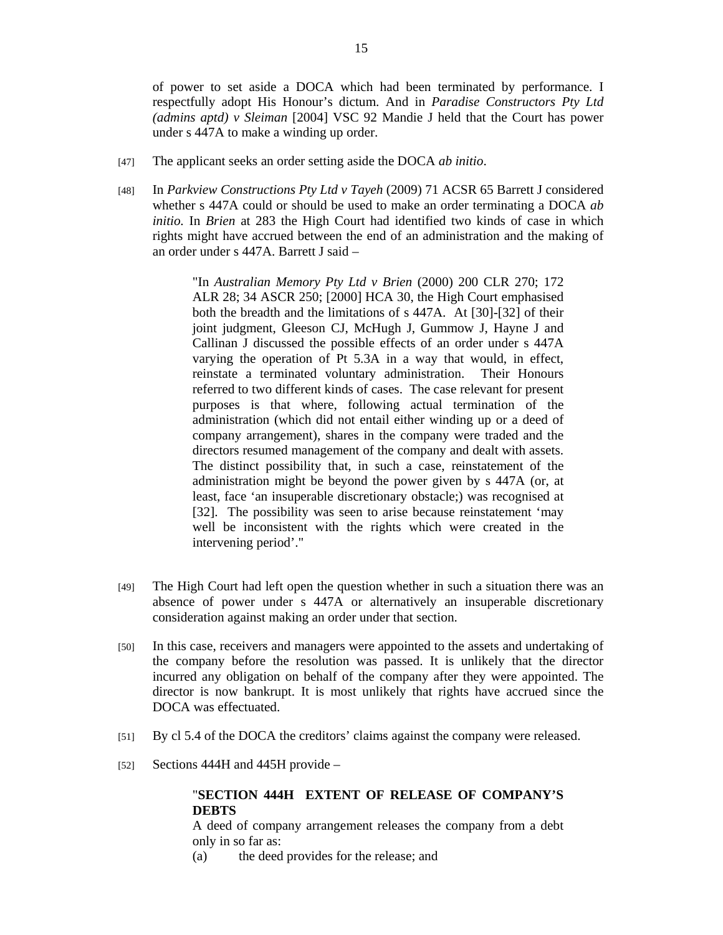of power to set aside a DOCA which had been terminated by performance. I respectfully adopt His Honour's dictum. And in *Paradise Constructors Pty Ltd (admins aptd) v Sleiman* [2004] VSC 92 Mandie J held that the Court has power under s 447A to make a winding up order.

- [47] The applicant seeks an order setting aside the DOCA *ab initio*.
- [48] In *Parkview Constructions Pty Ltd v Tayeh* (2009) 71 ACSR 65 Barrett J considered whether s 447A could or should be used to make an order terminating a DOCA *ab initio.* In *Brien* at 283 the High Court had identified two kinds of case in which rights might have accrued between the end of an administration and the making of an order under s 447A. Barrett J said –

"In *Australian Memory Pty Ltd v Brien* (2000) 200 CLR 270; 172 ALR 28; 34 ASCR 250; [2000] HCA 30, the High Court emphasised both the breadth and the limitations of s 447A. At [30]-[32] of their joint judgment, Gleeson CJ, McHugh J, Gummow J, Hayne J and Callinan J discussed the possible effects of an order under s 447A varying the operation of Pt 5.3A in a way that would, in effect, reinstate a terminated voluntary administration. Their Honours referred to two different kinds of cases. The case relevant for present purposes is that where, following actual termination of the administration (which did not entail either winding up or a deed of company arrangement), shares in the company were traded and the directors resumed management of the company and dealt with assets. The distinct possibility that, in such a case, reinstatement of the administration might be beyond the power given by s 447A (or, at least, face 'an insuperable discretionary obstacle;) was recognised at [32]. The possibility was seen to arise because reinstatement 'may well be inconsistent with the rights which were created in the intervening period'."

- [49] The High Court had left open the question whether in such a situation there was an absence of power under s 447A or alternatively an insuperable discretionary consideration against making an order under that section.
- [50] In this case, receivers and managers were appointed to the assets and undertaking of the company before the resolution was passed. It is unlikely that the director incurred any obligation on behalf of the company after they were appointed. The director is now bankrupt. It is most unlikely that rights have accrued since the DOCA was effectuated.
- [51] By cl 5.4 of the DOCA the creditors' claims against the company were released.
- [52] Sections 444H and 445H provide –

# "**SECTION 444H EXTENT OF RELEASE OF COMPANY'S DEBTS**

A deed of company arrangement releases the company from a debt only in so far as:

(a) the deed provides for the release; and